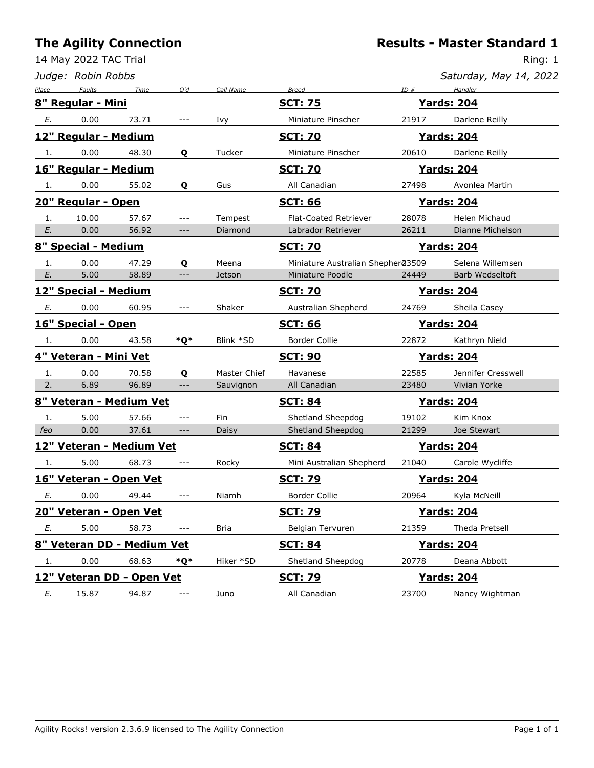14 May 2022 TAC Trial

|       | Judge: Robin Robbs         |       |                     |              |                                   |       | Saturday, May 14, 2022 |
|-------|----------------------------|-------|---------------------|--------------|-----------------------------------|-------|------------------------|
| Place | <b>Faults</b>              | Time  | Q'd                 | Call Name    | <b>Breed</b>                      | ID#   | Handler                |
|       | 8" Regular - Mini          |       |                     |              | <b>SCT: 75</b>                    |       | <b>Yards: 204</b>      |
| Е.    | 0.00                       | 73.71 | ---                 | Ivy          | Miniature Pinscher                | 21917 | Darlene Reilly         |
|       | 12" Regular - Medium       |       |                     |              | <u>SCT: 70</u>                    |       | <u>Yards: 204</u>      |
| 1.    | 0.00                       | 48.30 | Q                   | Tucker       | Miniature Pinscher                | 20610 | Darlene Reilly         |
|       | 16" Regular - Medium       |       |                     |              | <b>SCT: 70</b>                    |       | <u>Yards: 204</u>      |
| 1.    | 0.00                       | 55.02 | Q                   | Gus          | All Canadian                      | 27498 | Avonlea Martin         |
|       | 20" Regular - Open         |       |                     |              | <u>SCT: 66</u>                    |       | <u> Yards: 204</u>     |
| 1.    | 10.00                      | 57.67 | ---                 | Tempest      | <b>Flat-Coated Retriever</b>      | 28078 | Helen Michaud          |
| Е.    | 0.00                       | 56.92 | $---$               | Diamond      | Labrador Retriever                | 26211 | Dianne Michelson       |
|       | 8" Special - Medium        |       |                     |              | <u>SCT: 70</u>                    |       | <u>Yards: 204</u>      |
| 1.    | 0.00                       | 47.29 | Q                   | Meena        | Miniature Australian Shepher@3509 |       | Selena Willemsen       |
| E.    | 5.00                       | 58.89 | $---$               | Jetson       | Miniature Poodle                  | 24449 | Barb Wedseltoft        |
|       | 12" Special - Medium       |       |                     |              | <b>SCT: 70</b>                    |       | <u>Yards: 204</u>      |
| E.    | 0.00                       | 60.95 | ---                 | Shaker       | Australian Shepherd               | 24769 | Sheila Casey           |
|       | 16" Special - Open         |       |                     |              | <b>SCT: 66</b>                    |       | <b>Yards: 204</b>      |
| 1.    | 0.00                       | 43.58 | *Q*                 | Blink *SD    | Border Collie                     | 22872 | Kathryn Nield          |
|       | 4" Veteran - Mini Vet      |       |                     |              | <b>SCT: 90</b>                    |       | <b>Yards: 204</b>      |
| 1.    | 0.00                       | 70.58 | Q                   | Master Chief | Havanese                          | 22585 | Jennifer Cresswell     |
| 2.    | 6.89                       | 96.89 | $---$               | Sauvignon    | All Canadian                      | 23480 | Vivian Yorke           |
|       | 8" Veteran - Medium Vet    |       |                     |              | <b>SCT: 84</b>                    |       | <b>Yards: 204</b>      |
| 1.    | 5.00                       | 57.66 | $---$               | Fin          | Shetland Sheepdog                 | 19102 | Kim Knox               |
| feo   | 0.00                       | 37.61 | ---                 | Daisy        | Shetland Sheepdog                 | 21299 | Joe Stewart            |
|       | 12" Veteran - Medium Vet   |       |                     |              | <b>SCT: 84</b>                    |       | <u> Yards: 204</u>     |
| 1.    | 5.00                       | 68.73 | $- - -$             | Rocky        | Mini Australian Shepherd          | 21040 | Carole Wycliffe        |
|       | 16" Veteran - Open Vet     |       |                     |              | <u>SCT: 79</u>                    |       | <b>Yards: 204</b>      |
| Е.    | 0.00                       | 49.44 | $---$               | Niamh        | Border Collie                     | 20964 | Kyla McNeill           |
|       | 20" Veteran - Open Vet     |       |                     |              | <b>SCT: 79</b>                    |       | <b>Yards: 204</b>      |
| Е.    | 5.00                       | 58.73 | $\qquad \qquad - -$ | <b>Bria</b>  | Belgian Tervuren                  | 21359 | Theda Pretsell         |
|       | 8" Veteran DD - Medium Vet |       |                     |              | <u>SCT: 84</u>                    |       | <b>Yards: 204</b>      |
| 1.    | 0.00                       | 68.63 | *Q*                 | Hiker *SD    | Shetland Sheepdog                 | 20778 | Deana Abbott           |
|       | 12" Veteran DD - Open Vet  |       |                     |              | <u>SCT: 79</u>                    |       | <b>Yards: 204</b>      |
| E.    | 15.87                      | 94.87 | $---$               | Juno         | All Canadian                      | 23700 | Nancy Wightman         |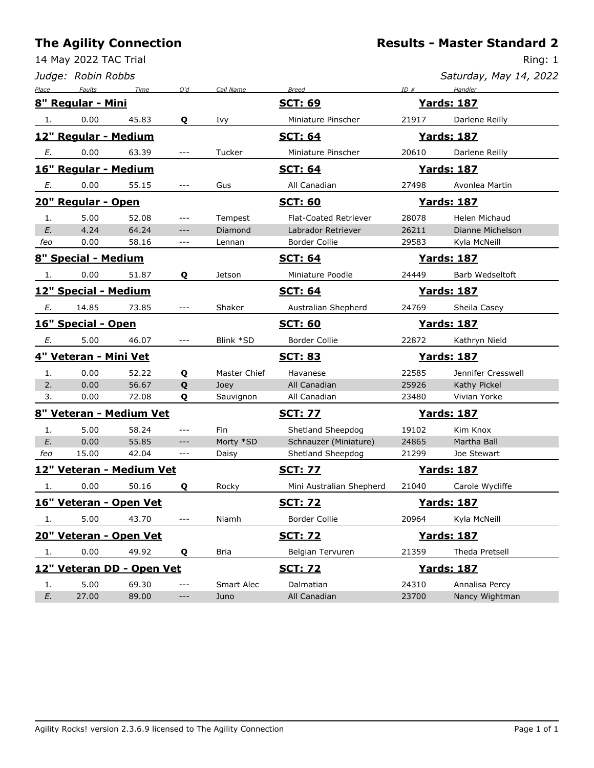### **The**

|              |                                    | <b>The Agility Connection</b>   |                     |              |                                |       | <b>Results - Master Standard 2</b> |
|--------------|------------------------------------|---------------------------------|---------------------|--------------|--------------------------------|-------|------------------------------------|
|              | 14 May 2022 TAC Trial              |                                 |                     |              |                                |       | Ring: 1                            |
|              | Judge: Robin Robbs                 |                                 |                     |              |                                |       | Saturday, May 14, 2022             |
| <u>Place</u> | Faults<br><u>8" Regular - Mini</u> | Time                            | Q'd                 | Call Name    | <b>Breed</b><br><b>SCT: 69</b> | ID#   | Handler<br><b>Yards: 187</b>       |
| 1.           | 0.00                               | 45.83                           | Q                   | Ivy          | Miniature Pinscher             | 21917 | Darlene Reilly                     |
|              | 12" Regular - Medium               |                                 |                     |              | <b>SCT: 64</b>                 |       | <u> Yards: 187</u>                 |
| Е.           | 0.00                               | 63.39                           | $---$               | Tucker       | Miniature Pinscher             | 20610 | Darlene Reilly                     |
|              | 16" Regular - Medium               |                                 |                     |              | <b>SCT: 64</b>                 |       | <b>Yards: 187</b>                  |
| Е.           | 0.00                               | 55.15                           | $---$               | Gus          | All Canadian                   | 27498 | Avonlea Martin                     |
|              | 20" Regular - Open                 |                                 |                     |              | <b>SCT: 60</b>                 |       | <b>Yards: 187</b>                  |
| 1.           | 5.00                               | 52.08                           | $---$               | Tempest      | Flat-Coated Retriever          | 28078 | Helen Michaud                      |
| E.           | 4.24                               | 64.24                           | $---$               | Diamond      | Labrador Retriever             | 26211 | Dianne Michelson                   |
| feo          | 0.00                               | 58.16                           | $\qquad \qquad - -$ | Lennan       | Border Collie                  | 29583 | Kyla McNeill                       |
|              | 8" Special - Medium                |                                 |                     |              | <u>SCT: 64</u>                 |       | <u> Yards: 187</u>                 |
| 1.           | 0.00                               | 51.87                           | Q                   | Jetson       | Miniature Poodle               | 24449 | Barb Wedseltoft                    |
|              | 12" Special - Medium               |                                 |                     |              | <b>SCT: 64</b>                 |       | <u>Yards: 187</u>                  |
| Е.           | 14.85                              | 73.85                           | $---$               | Shaker       | Australian Shepherd            | 24769 | Sheila Casey                       |
|              | 16" Special - Open                 |                                 |                     |              | <b>SCT: 60</b>                 |       | <u> Yards: 187</u>                 |
| Е.           | 5.00                               | 46.07                           | $---$               | Blink *SD    | Border Collie                  | 22872 | Kathryn Nield                      |
|              | <u> 4" Veteran - Mini Vet</u>      |                                 |                     |              | <u>SCT: 83</u>                 |       | <u> Yards: 187</u>                 |
| 1.           | 0.00                               | 52.22                           | Q                   | Master Chief | Havanese                       | 22585 | Jennifer Cresswell                 |
| 2.           | 0.00                               | 56.67                           | Q                   | Joey         | All Canadian                   | 25926 | Kathy Pickel                       |
| 3.           | 0.00                               | 72.08                           | Q                   | Sauvignon    | All Canadian                   | 23480 | Vivian Yorke                       |
|              |                                    | <u> 8" Veteran - Medium Vet</u> |                     |              | <b>SCT: 77</b>                 |       | <b>Yards: 187</b>                  |
| 1.           | 5.00                               | 58.24                           | $---$               | Fin          | Shetland Sheepdog              | 19102 | Kim Knox                           |
| E.           | 0.00                               | 55.85                           | $---$               | Morty *SD    | Schnauzer (Miniature)          | 24865 | Martha Ball                        |
| feo          | 15.00                              | 42.04                           | $---$               | Daisy        | Shetland Sheepdog              | 21299 | Joe Stewart                        |
|              |                                    | 12" Veteran - Medium Vet        |                     |              | <b>SCT: 77</b>                 |       | <b>Yards: 187</b>                  |
| 1.           | 0.00                               | 50.16                           | Q                   | Rocky        | Mini Australian Shepherd       | 21040 | Carole Wycliffe                    |
|              | 16" Veteran - Open Vet             |                                 |                     |              | <u>SCT: 72</u>                 |       | <u> Yards: 187</u>                 |
| 1.           | 5.00                               | 43.70                           | $---$               | Niamh        | Border Collie                  | 20964 | Kyla McNeill                       |
|              | 20" Veteran - Open Vet             |                                 |                     |              | <b>SCT: 72</b>                 |       | <b>Yards: 187</b>                  |
| 1.           | 0.00                               | 49.92                           | Q                   | Bria         | Belgian Tervuren               | 21359 | Theda Pretsell                     |
|              |                                    | 12" Veteran DD - Open Vet       |                     |              | <u>SCT: 72</u>                 |       | <b>Yards: 187</b>                  |
|              |                                    | 69.30                           | ---                 | Smart Alec   | Dalmatian                      | 24310 | Annalisa Percy                     |
| 1.           | 5.00                               |                                 |                     |              |                                |       |                                    |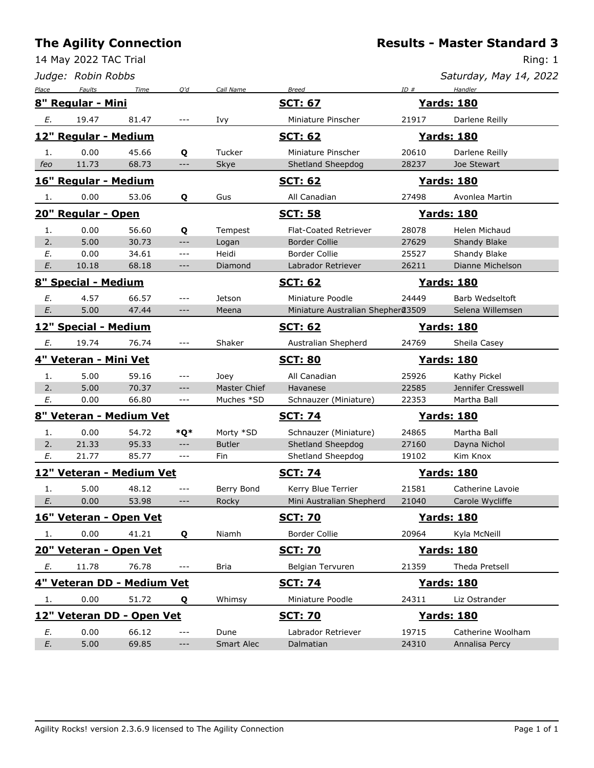**Results - Master Standard 3**

|       | 14 May 2022 TAC Trial |                            |                                                                   |               |                                   |       | Ring: 1                |
|-------|-----------------------|----------------------------|-------------------------------------------------------------------|---------------|-----------------------------------|-------|------------------------|
|       | Judge: Robin Robbs    |                            |                                                                   |               |                                   |       | Saturday, May 14, 2022 |
| Place | Faults                | Time                       | Q'd                                                               | Call Name     | <b>Breed</b>                      | ID#   | Handler                |
|       | 8" Regular - Mini     |                            |                                                                   |               | <b>SCT: 67</b>                    |       | <b>Yards: 180</b>      |
| Е.    | 19.47                 | 81.47                      | ---                                                               | Ivy           | Miniature Pinscher                | 21917 | Darlene Reilly         |
|       | 12" Regular - Medium  |                            |                                                                   |               | <b>SCT: 62</b>                    |       | <b>Yards: 180</b>      |
| 1.    | 0.00                  | 45.66                      | Q                                                                 | Tucker        | Miniature Pinscher                | 20610 | Darlene Reilly         |
| feo   | 11.73                 | 68.73                      | ---                                                               | Skye          | Shetland Sheepdog                 | 28237 | Joe Stewart            |
|       | 16" Regular - Medium  |                            |                                                                   |               | <b>SCT: 62</b>                    |       | <b>Yards: 180</b>      |
| 1.    | 0.00                  | 53.06                      | Q                                                                 | Gus           | All Canadian                      | 27498 | Avonlea Martin         |
|       | 20" Regular - Open    |                            |                                                                   |               | <b>SCT: 58</b>                    |       | <b>Yards: 180</b>      |
| 1.    | 0.00                  | 56.60                      | Q                                                                 | Tempest       | <b>Flat-Coated Retriever</b>      | 28078 | Helen Michaud          |
| 2.    | 5.00                  | 30.73                      | $---$                                                             | Logan         | <b>Border Collie</b>              | 27629 | Shandy Blake           |
| Ε.    | 0.00                  | 34.61                      | $\qquad \qquad - -$                                               | Heidi         | Border Collie                     | 25527 | Shandy Blake           |
| E.    | 10.18                 | 68.18                      | $\hspace{0.05cm} \ldots \hspace{0.05cm}$ $\hspace{0.05cm} \ldots$ | Diamond       | Labrador Retriever                | 26211 | Dianne Michelson       |
|       | 8" Special - Medium   |                            |                                                                   |               | <b>SCT: 62</b>                    |       | <b>Yards: 180</b>      |
| E.    | 4.57                  | 66.57                      | ---                                                               | Jetson        | Miniature Poodle                  | 24449 | Barb Wedseltoft        |
| E.    | 5.00                  | 47.44                      | $---$                                                             | Meena         | Miniature Australian Shepher@3509 |       | Selena Willemsen       |
|       | 12" Special - Medium  |                            |                                                                   |               | <b>SCT: 62</b>                    |       | <b>Yards: 180</b>      |
| E.    | 19.74                 | 76.74                      | ---                                                               | Shaker        | Australian Shepherd               | 24769 | Sheila Casey           |
|       | 4" Veteran - Mini Vet |                            |                                                                   |               | <b>SCT: 80</b>                    |       | <b>Yards: 180</b>      |
| 1.    | 5.00                  | 59.16                      | ---                                                               | Joey          | All Canadian                      | 25926 | Kathy Pickel           |
| 2.    | 5.00                  | 70.37                      | ---                                                               | Master Chief  | Havanese                          | 22585 | Jennifer Cresswell     |
| E.    | 0.00                  | 66.80                      | ---                                                               | Muches *SD    | Schnauzer (Miniature)             | 22353 | Martha Ball            |
|       |                       | 8" Veteran - Medium Vet    |                                                                   |               | <b>SCT: 74</b>                    |       | <u>Yards: 180</u>      |
| 1.    | 0.00                  | 54.72                      | *Q*                                                               | Morty *SD     | Schnauzer (Miniature)             | 24865 | Martha Ball            |
| 2.    | 21.33                 | 95.33                      | $\cdots$                                                          | <b>Butler</b> | Shetland Sheepdog                 | 27160 | Dayna Nichol           |
| Ε.    | 21.77                 | 85.77                      | $\qquad \qquad - -$                                               | Fin           | Shetland Sheepdog                 | 19102 | Kim Knox               |
|       |                       | 12" Veteran - Medium Vet   |                                                                   |               | <b>SCT: 74</b>                    |       | <b>Yards: 180</b>      |
| 1.    | 5.00                  | 48.12                      | $---$                                                             | Berry Bond    | Kerry Blue Terrier                | 21581 | Catherine Lavoie       |
| E.    | 0.00                  | 53.98                      | $-\, -\, -$                                                       | Rocky         | Mini Australian Shepherd          | 21040 | Carole Wycliffe        |
|       |                       | 16" Veteran - Open Vet     |                                                                   |               | <b>SCT: 70</b>                    |       | <b>Yards: 180</b>      |
| 1.    | 0.00                  | 41.21                      | Q                                                                 | Niamh         | <b>Border Collie</b>              | 20964 | Kyla McNeill           |
|       |                       | 20" Veteran - Open Vet     |                                                                   |               | <b>SCT: 70</b>                    |       | <b>Yards: 180</b>      |
| Е.    | 11.78                 | 76.78                      | $\sim$ $\sim$ $\sim$                                              | <b>Bria</b>   | Belgian Tervuren                  | 21359 | Theda Pretsell         |
|       |                       | 4" Veteran DD - Medium Vet |                                                                   |               | <b>SCT: 74</b>                    |       | <b>Yards: 180</b>      |
| 1.    | 0.00                  | 51.72                      | Q                                                                 | Whimsy        | Miniature Poodle                  | 24311 | Liz Ostrander          |
|       |                       | 12" Veteran DD - Open Vet  |                                                                   |               | <u>SCT: 70</u>                    |       | <b>Yards: 180</b>      |
| E.    | 0.00                  | 66.12                      | ---                                                               | Dune          | Labrador Retriever                | 19715 | Catherine Woolham      |
| E.    | 5.00                  | 69.85                      | $\qquad \qquad - -$                                               | Smart Alec    | Dalmatian                         | 24310 | Annalisa Percy         |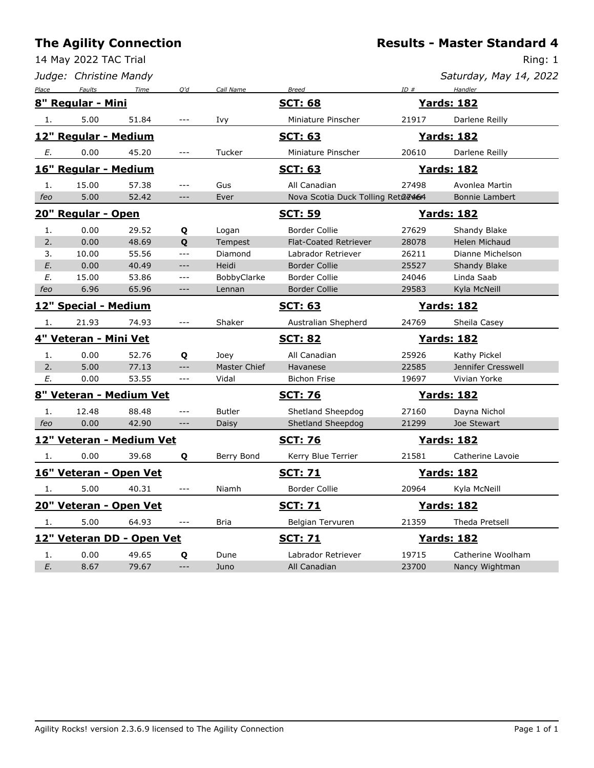14 May 2022 TAC Trial

|       | Judge: Christine Mandy |                           |                                             |               |                                   |                   | Saturday, May 14, 2022 |
|-------|------------------------|---------------------------|---------------------------------------------|---------------|-----------------------------------|-------------------|------------------------|
| Place | Faults                 | Time                      | O'd                                         | Call Name     | <b>Breed</b>                      | ID#               | Handler                |
|       | 8" Regular - Mini      |                           |                                             |               | <b>SCT: 68</b>                    |                   | <b>Yards: 182</b>      |
| 1.    | 5.00                   | 51.84                     | $---$                                       | Ivy           | Miniature Pinscher                | 21917             | Darlene Reilly         |
|       | 12" Regular - Medium   |                           |                                             |               | <b>SCT: 63</b>                    |                   | <b>Yards: 182</b>      |
| Е.    | 0.00                   | 45.20                     | $---$                                       | Tucker        | Miniature Pinscher                | 20610             | Darlene Reilly         |
|       | 16" Regular - Medium   |                           |                                             |               | <u>SCT: 63</u>                    |                   | <b>Yards: 182</b>      |
| 1.    | 15.00                  | 57.38                     | $---$                                       | Gus           | All Canadian                      | 27498             | Avonlea Martin         |
| feo   | 5.00                   | 52.42                     | $---$                                       | Ever          | Nova Scotia Duck Tolling Reta@464 |                   | Bonnie Lambert         |
|       | 20" Regular - Open     |                           |                                             |               | <u>SCT: 59</u>                    |                   | <b>Yards: 182</b>      |
| 1.    | 0.00                   | 29.52                     | Q                                           | Logan         | Border Collie                     | 27629             | Shandy Blake           |
| 2.    | 0.00                   | 48.69                     | Q                                           | Tempest       | <b>Flat-Coated Retriever</b>      | 28078             | <b>Helen Michaud</b>   |
| 3.    | 10.00                  | 55.56                     | $\overline{a}$                              | Diamond       | Labrador Retriever                | 26211             | Dianne Michelson       |
| E.    | 0.00                   | 40.49                     | $---$                                       | Heidi         | <b>Border Collie</b>              | 25527             | Shandy Blake           |
| E.    | 15.00                  | 53.86                     | $---$                                       | BobbyClarke   | <b>Border Collie</b>              | 24046             | Linda Saab             |
| feo   | 6.96                   | 65.96                     | ---                                         | Lennan        | <b>Border Collie</b>              | 29583             | Kyla McNeill           |
|       | 12" Special - Medium   |                           |                                             |               | <b>SCT: 63</b>                    |                   | <b>Yards: 182</b>      |
| 1.    | 21.93                  | 74.93                     | $---$                                       | Shaker        | Australian Shepherd               | 24769             | Sheila Casey           |
|       | 4" Veteran - Mini Vet  |                           |                                             |               | <b>SCT: 82</b>                    |                   | <b>Yards: 182</b>      |
| 1.    | 0.00                   | 52.76                     | Q                                           | Joey          | All Canadian                      | 25926             | Kathy Pickel           |
| 2.    | 5.00                   | 77.13                     | $---$                                       | Master Chief  | Havanese                          | 22585             | Jennifer Cresswell     |
| E.    | 0.00                   | 53.55                     | $ -$                                        | Vidal         | <b>Bichon Frise</b>               | 19697             | Vivian Yorke           |
|       |                        | 8" Veteran - Medium Vet   |                                             |               | <b>SCT: 76</b>                    | <b>Yards: 182</b> |                        |
| 1.    | 12.48                  | 88.48                     | $---$                                       | <b>Butler</b> | Shetland Sheepdog                 | 27160             | Dayna Nichol           |
| feo   | 0.00                   | 42.90                     | $---$                                       | Daisy         | Shetland Sheepdog                 | 21299             | Joe Stewart            |
|       |                        | 12" Veteran - Medium Vet  |                                             |               | <b>SCT: 76</b>                    |                   | <b>Yards: 182</b>      |
| 1.    | 0.00                   | 39.68                     | Q                                           | Berry Bond    | Kerry Blue Terrier                | 21581             | Catherine Lavoie       |
|       | 16" Veteran - Open Vet |                           |                                             |               | <b>SCT: 71</b>                    |                   | <u>Yards: 182</u>      |
| 1.    | 5.00                   | 40.31                     | $\qquad \qquad - -$                         | Niamh         | <b>Border Collie</b>              | 20964             | Kyla McNeill           |
|       | 20" Veteran - Open Vet |                           |                                             |               | <b>SCT: 71</b>                    |                   | <b>Yards: 182</b>      |
| 1.    | 5.00                   | 64.93                     | $\scriptstyle \cdots$ $\scriptstyle \cdots$ | <b>Bria</b>   | Belgian Tervuren                  | 21359             | Theda Pretsell         |
|       |                        | 12" Veteran DD - Open Vet |                                             |               | <b>SCT: 71</b>                    |                   | <b>Yards: 182</b>      |
| 1.    | 0.00                   | 49.65                     | Q                                           | Dune          | Labrador Retriever                | 19715             | Catherine Woolham      |
| E.    | 8.67                   | 79.67                     | $---$                                       | Juno          | All Canadian                      | 23700             | Nancy Wightman         |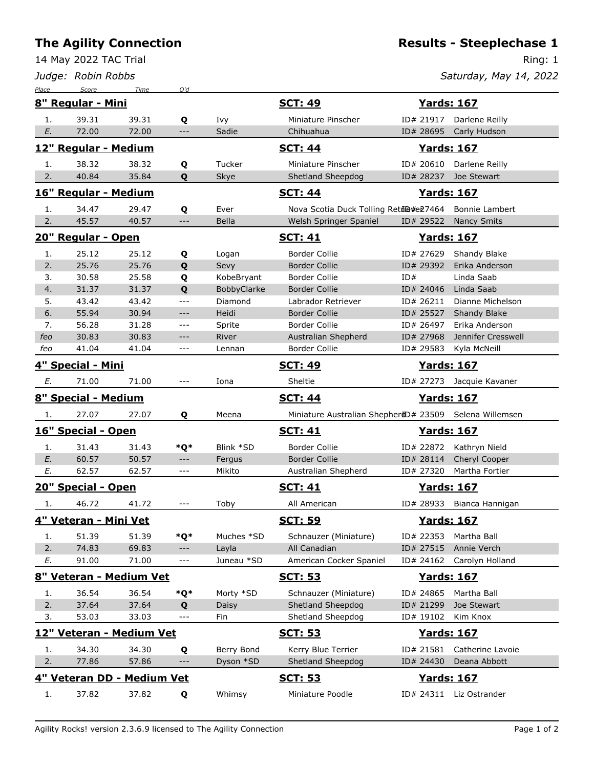14 May 2022 TAC Trial

*Judge: Robin Robbs*

**Results - Steeplechase 1**

Ring: 1

| Place                                                    | Score                            | Time  | Q'd                  |             |                                                        |                    |                           |
|----------------------------------------------------------|----------------------------------|-------|----------------------|-------------|--------------------------------------------------------|--------------------|---------------------------|
|                                                          | 8" Regular - Mini                |       |                      |             | <b>SCT: 49</b>                                         | <u>Yards: 167</u>  |                           |
| 1.                                                       | 39.31                            | 39.31 | Q                    | Ivy         | Miniature Pinscher                                     |                    | ID# 21917 Darlene Reilly  |
| E.                                                       | 72.00                            | 72.00 | $---$                | Sadie       | Chihuahua                                              | ID# 28695          | Carly Hudson              |
|                                                          | 12" Regular - Medium             |       |                      |             | <b>SCT: 44</b>                                         | <b>Yards: 167</b>  |                           |
| 1.                                                       | 38.32                            | 38.32 | Q                    | Tucker      | Miniature Pinscher                                     | ID# 20610          | Darlene Reilly            |
| 2.                                                       | 40.84                            | 35.84 | Q                    | Skye        | Shetland Sheepdog                                      | ID# 28237          | Joe Stewart               |
|                                                          | 16" Regular - Medium             |       |                      |             | <b>SCT: 44</b>                                         | <b>Yards: 167</b>  |                           |
| 1.                                                       | 34.47                            | 29.47 | Q                    | Ever        | Nova Scotia Duck Tolling Retrie #e27464                |                    | Bonnie Lambert            |
| 2.                                                       | 45.57                            | 40.57 | $\qquad \qquad - -$  | Bella       | Welsh Springer Spaniel                                 | ID# 29522          | <b>Nancy Smits</b>        |
|                                                          | 20" Regular - Open               |       |                      |             | <b>SCT: 41</b>                                         | <b>Yards: 167</b>  |                           |
| 1.                                                       | 25.12                            | 25.12 | Q                    | Logan       | <b>Border Collie</b>                                   | ID# 27629          | Shandy Blake              |
| 2.                                                       | 25.76                            | 25.76 | Q                    | Sevy        | <b>Border Collie</b>                                   | ID# 29392          | Erika Anderson            |
| 3.                                                       | 30.58                            | 25.58 | Q                    | KobeBryant  | <b>Border Collie</b>                                   | ID#                | Linda Saab                |
| 4.                                                       | 31.37                            | 31.37 | Q                    | BobbyClarke | <b>Border Collie</b>                                   | ID# 24046          | Linda Saab                |
| 5.                                                       | 43.42                            | 43.42 | $ -$                 | Diamond     | Labrador Retriever                                     | ID# 26211          | Dianne Michelson          |
| 6.                                                       | 55.94                            | 30.94 | $---$                | Heidi       | <b>Border Collie</b>                                   | ID# 25527          | Shandy Blake              |
| 7.                                                       | 56.28                            | 31.28 | $---$                | Sprite      | <b>Border Collie</b>                                   | ID# 26497          | Erika Anderson            |
| feo                                                      | 30.83                            | 30.83 | $---$                | River       | Australian Shepherd                                    | ID# 27968          | Jennifer Cresswell        |
| feo                                                      | 41.04                            | 41.04 | $\sim$ $\sim$ $\sim$ | Lennan      | <b>Border Collie</b>                                   | ID# 29583          | Kyla McNeill              |
| 4" Special - Mini<br><b>SCT: 49</b><br><b>Yards: 167</b> |                                  |       |                      |             |                                                        |                    |                           |
| Е.                                                       | 71.00                            | 71.00 | ---                  | Iona        | Sheltie                                                |                    | ID# 27273 Jacquie Kavaner |
|                                                          | 8" Special - Medium              |       |                      |             | <b>SCT: 44</b>                                         | <b>Yards: 167</b>  |                           |
| 1.                                                       | 27.07                            | 27.07 | Q                    | Meena       | Miniature Australian ShepherdD# 23509 Selena Willemsen |                    |                           |
|                                                          | 16" Special - Open               |       |                      |             | <b>SCT: 41</b>                                         | <u>Yards: 167</u>  |                           |
| 1.                                                       | 31.43                            | 31.43 | *Q*                  | Blink *SD   | <b>Border Collie</b>                                   | ID# 22872          | Kathryn Nield             |
| E.                                                       | 60.57                            | 50.57 | $---$                | Fergus      | <b>Border Collie</b>                                   | ID# 28114          | Cheryl Cooper             |
| Ε.                                                       | 62.57                            | 62.57 | $\qquad \qquad - -$  | Mikito      | Australian Shepherd                                    | ID# 27320          | Martha Fortier            |
|                                                          | 20" Special - Open               |       |                      |             | <b>SCT: 41</b>                                         | <b>Yards: 167</b>  |                           |
| 1.                                                       | 46.72                            | 41.72 | ---                  | Toby        | All American                                           |                    | ID# 28933 Bianca Hannigan |
|                                                          | 4" Veteran - Mini Vet            |       |                      |             | <b>SCT: 59</b>                                         | <b>Yards: 167</b>  |                           |
| 1.                                                       | 51.39                            | 51.39 | *O*                  | Muches *SD  | Schnauzer (Miniature)                                  | ID# 22353          | Martha Ball               |
| 2.                                                       | 74.83                            | 69.83 | $-\, -\, -$          | Layla       | All Canadian                                           | ID# 27515          | Annie Verch               |
| Е.                                                       | 91.00                            | 71.00 | $---$                | Juneau *SD  | American Cocker Spaniel                                | ID# 24162          | Carolyn Holland           |
|                                                          | 8" Veteran - Medium Vet          |       |                      |             | <u>SCT: 53</u>                                         | <u>Yards: 167</u>  |                           |
|                                                          |                                  |       |                      |             |                                                        |                    |                           |
| 1.                                                       | 36.54                            | 36.54 | *Q*                  | Morty *SD   | Schnauzer (Miniature)                                  | ID# 24865          | Martha Ball               |
| 2.                                                       | 37.64                            | 37.64 | Q                    | Daisy       | Shetland Sheepdog                                      | ID# 21299          | Joe Stewart               |
| 3.                                                       | 53.03                            | 33.03 | $\sim$ $\sim$ $\sim$ | Fin         | Shetland Sheepdog                                      | ID# 19102          | Kim Knox                  |
|                                                          | <u> 12" Veteran - Medium Vet</u> |       |                      |             | <u>SCT: 53</u>                                         | <b>Yards: 167</b>  |                           |
| 1.                                                       | 34.30                            | 34.30 | Q                    | Berry Bond  | Kerry Blue Terrier                                     | ID# 21581          | Catherine Lavoie          |
| 2.                                                       | 77.86                            | 57.86 | $---$                | Dyson *SD   | Shetland Sheepdog                                      | ID# 24430          | Deana Abbott              |
|                                                          | 4" Veteran DD - Medium Vet       |       |                      |             | <b>SCT: 53</b>                                         | <u> Yards: 167</u> |                           |
|                                                          | 37.82                            | 37.82 | Q                    | Whimsy      | Miniature Poodle                                       |                    | ID# 24311 Liz Ostrander   |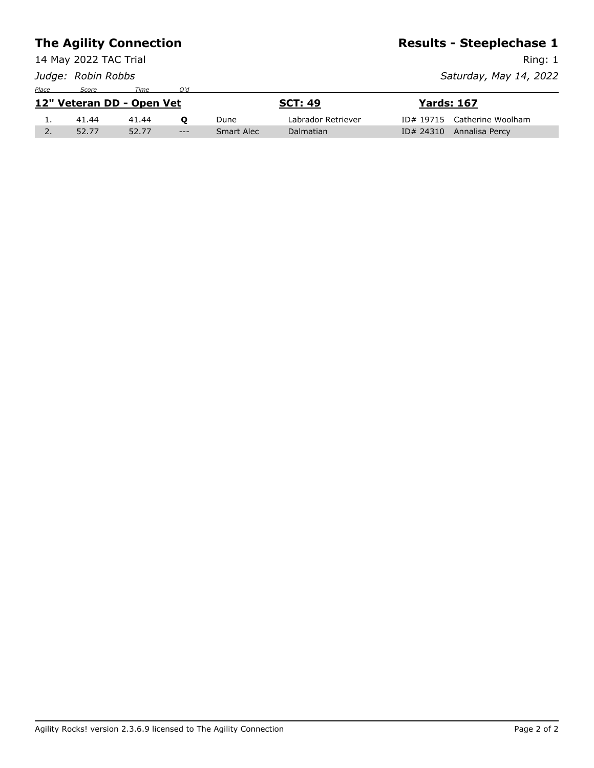|                           |                       | <b>The Agility Connection</b> | <b>Results - Steeplechase 1</b> |                |                    |                   |                             |
|---------------------------|-----------------------|-------------------------------|---------------------------------|----------------|--------------------|-------------------|-----------------------------|
|                           | 14 May 2022 TAC Trial |                               |                                 | Ring: 1        |                    |                   |                             |
|                           | Judge: Robin Robbs    |                               |                                 |                |                    |                   | Saturday, May 14, 2022      |
| Place                     | Score                 | Time                          | O'd                             |                |                    |                   |                             |
| 12" Veteran DD - Open Vet |                       |                               |                                 | <b>SCT: 49</b> |                    | <b>Yards: 167</b> |                             |
| 1.                        | 41.44                 | 41.44                         | $\mathbf{o}$                    | Dune           | Labrador Retriever |                   | ID# 19715 Catherine Woolham |
| 2.                        | 52.77                 | 52.77                         | $---$                           | Smart Alec     | Dalmatian          | ID# 24310         | Annalisa Percy              |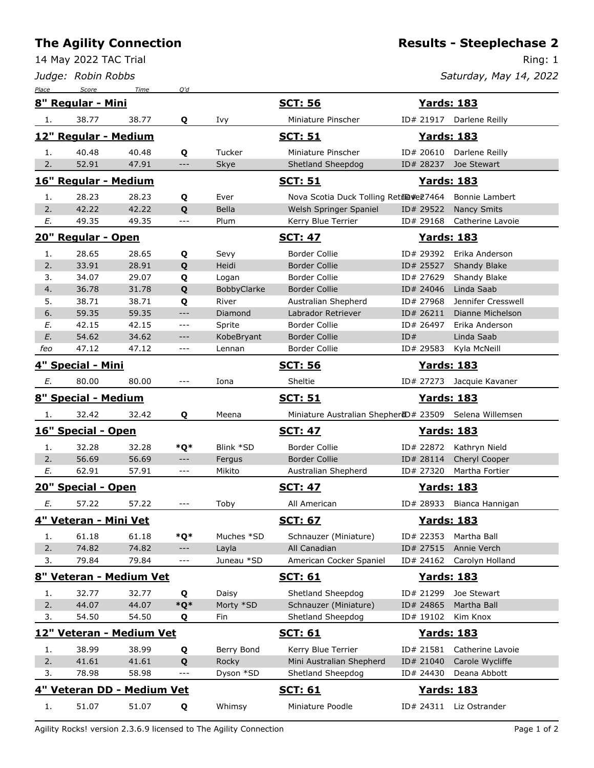14 May 2022 TAC Trial

*Judge: Robin Robbs*

Ring: 1

| Place | Score                 | Time                       | O'd                                      |             |                                                        |                   |                           |
|-------|-----------------------|----------------------------|------------------------------------------|-------------|--------------------------------------------------------|-------------------|---------------------------|
|       | 8" Regular - Mini     |                            |                                          |             | <b>SCT: 56</b>                                         |                   | <b>Yards: 183</b>         |
| 1.    | 38.77                 | 38.77                      | Q                                        | Ivy         | Miniature Pinscher                                     |                   | ID# 21917 Darlene Reilly  |
|       | 12" Regular - Medium  |                            |                                          |             | <b>SCT: 51</b>                                         | <b>Yards: 183</b> |                           |
| 1.    | 40.48                 | 40.48                      | Q                                        | Tucker      | Miniature Pinscher                                     | ID# 20610         | Darlene Reilly            |
| 2.    | 52.91                 | 47.91                      | $---$                                    | Skye        | Shetland Sheepdog                                      | ID# 28237         | Joe Stewart               |
|       | 16" Regular - Medium  |                            |                                          |             | <u>SCT: 51</u>                                         | <b>Yards: 183</b> |                           |
| 1.    | 28.23                 | 28.23                      | Q                                        | Ever        | Nova Scotia Duck Tolling Retil@#e27464                 |                   | Bonnie Lambert            |
| 2.    | 42.22                 | 42.22                      | Q                                        | Bella       | Welsh Springer Spaniel                                 | ID# 29522         | <b>Nancy Smits</b>        |
| Е.    | 49.35                 | 49.35                      | $\sim$ $\sim$ $\sim$                     | Plum        | Kerry Blue Terrier                                     | ID# 29168         | Catherine Lavoie          |
|       | 20" Regular - Open    |                            |                                          |             | <b>SCT: 47</b>                                         | <u>Yards: 183</u> |                           |
| 1.    | 28.65                 | 28.65                      | Q                                        | Sevy        | <b>Border Collie</b>                                   | ID# 29392         | Erika Anderson            |
| 2.    | 33.91                 | 28.91                      | Q                                        | Heidi       | <b>Border Collie</b>                                   | ID# 25527         | Shandy Blake              |
| 3.    | 34.07                 | 29.07                      | Q                                        | Logan       | <b>Border Collie</b>                                   | ID# 27629         | Shandy Blake              |
| 4.    | 36.78                 | 31.78                      | Q                                        | BobbyClarke | <b>Border Collie</b>                                   | ID# 24046         | Linda Saab                |
| 5.    | 38.71                 | 38.71                      | Q                                        | River       | Australian Shepherd                                    | ID# 27968         | Jennifer Cresswell        |
| 6.    | 59.35                 | 59.35                      | $---$                                    | Diamond     | Labrador Retriever                                     | ID# 26211         | Dianne Michelson          |
| Е.    | 42.15                 | 42.15                      | $\qquad \qquad - -$                      | Sprite      | <b>Border Collie</b>                                   | ID# 26497         | Erika Anderson            |
| E.    | 54.62                 | 34.62                      | $---$                                    | KobeBryant  | <b>Border Collie</b>                                   | ID#               | Linda Saab                |
| feo   | 47.12                 | 47.12                      | $---$                                    | Lennan      | <b>Border Collie</b>                                   | ID# 29583         | Kyla McNeill              |
|       | 4" Special - Mini     |                            |                                          |             | <u>SCT: 56</u>                                         | <b>Yards: 183</b> |                           |
| Ε.    | 80.00                 | 80.00                      | $---$                                    | Iona        | Sheltie                                                |                   | ID# 27273 Jacquie Kavaner |
|       | 8" Special - Medium   |                            |                                          |             | <b>SCT: 51</b>                                         | <b>Yards: 183</b> |                           |
| 1.    | 32.42                 | 32.42                      | Q                                        | Meena       | Miniature Australian ShepherdD# 23509 Selena Willemsen |                   |                           |
|       | 16" Special - Open    |                            |                                          |             | <b>SCT: 47</b>                                         | <u>Yards: 183</u> |                           |
| 1.    | 32.28                 | 32.28                      | *Q*                                      | Blink *SD   | Border Collie                                          | ID# 22872         | Kathryn Nield             |
| 2.    | 56.69                 | 56.69                      | $---$                                    | Fergus      | <b>Border Collie</b>                                   | ID# 28114         | Cheryl Cooper             |
| E.    | 62.91                 | 57.91                      | $\qquad \qquad -$                        | Mikito      | Australian Shepherd                                    | ID# 27320         | Martha Fortier            |
|       | 20" Special - Open    |                            |                                          |             | <b>SCT: 47</b>                                         | <u>Yards: 183</u> |                           |
| Е.    | 57.22                 | 57.22                      | $---$                                    | Toby        | All American                                           | ID# 28933         | Bianca Hannigan           |
|       | 4" Veteran - Mini Vet |                            |                                          |             | <b>SCT: 67</b>                                         | <b>Yards: 183</b> |                           |
| 1.    | 61.18                 | 61.18                      | *Q*                                      | Muches *SD  | Schnauzer (Miniature)                                  | ID# 22353         | Martha Ball               |
| 2.    | 74.82                 | 74.82                      | $\hspace{0.05cm} \ldots \hspace{0.05cm}$ | Layla       | All Canadian                                           | ID# 27515         | Annie Verch               |
| 3.    | 79.84                 | 79.84                      | $---$                                    | Juneau *SD  | American Cocker Spaniel                                | ID# 24162         | Carolyn Holland           |
|       |                       | 8" Veteran - Medium Vet    |                                          |             | <u>SCT: 61</u>                                         |                   | <b>Yards: 183</b>         |
| 1.    | 32.77                 | 32.77                      | Q                                        | Daisy       | Shetland Sheepdog                                      | ID# 21299         | Joe Stewart               |
| 2.    | 44.07                 | 44.07                      | $*Q*$                                    | Morty *SD   | Schnauzer (Miniature)                                  | ID# 24865         | Martha Ball               |
| 3.    | 54.50                 | 54.50                      | Q                                        | Fin         | Shetland Sheepdog                                      | ID# 19102         | Kim Knox                  |
|       |                       | 12" Veteran - Medium Vet   |                                          |             | <b>SCT: 61</b>                                         |                   | <u>Yards: 183</u>         |
| 1.    | 38.99                 | 38.99                      | Q                                        | Berry Bond  | Kerry Blue Terrier                                     | ID# 21581         | Catherine Lavoie          |
| 2.    | 41.61                 | 41.61                      | Q                                        | Rocky       | Mini Australian Shepherd                               | ID# 21040         | Carole Wycliffe           |
| 3.    | 78.98                 | 58.98                      | $---$                                    | Dyson *SD   | Shetland Sheepdog                                      | ID# 24430         | Deana Abbott              |
|       |                       | 4" Veteran DD - Medium Vet |                                          |             | <b>SCT: 61</b>                                         |                   | <b>Yards: 183</b>         |
|       |                       |                            |                                          |             |                                                        |                   |                           |
| 1.    | 51.07                 | 51.07                      | Q                                        | Whimsy      | Miniature Poodle                                       |                   | ID# 24311 Liz Ostrander   |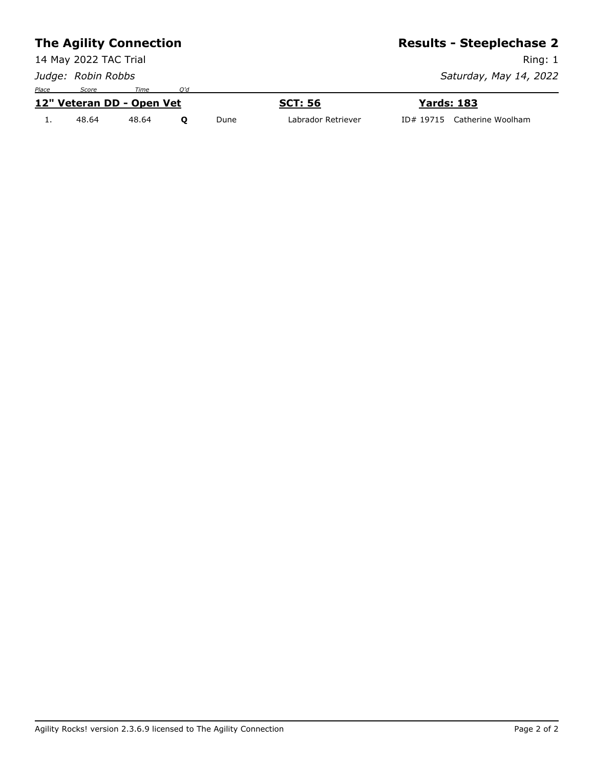#### **The Agility Connection** 14 May 2022 TAC Trial *Judge: Robin Robbs* **Results - Steeplechase 2** Ring: 1 *Saturday, May 14, 2022 Place Score Time Q'd* **12" Veteran DD - Open Vet SCT: 56 Yards: 183** 1. 48.64 48.64 **Q** Dune Labrador Retriever ID# 19715 Catherine Woolham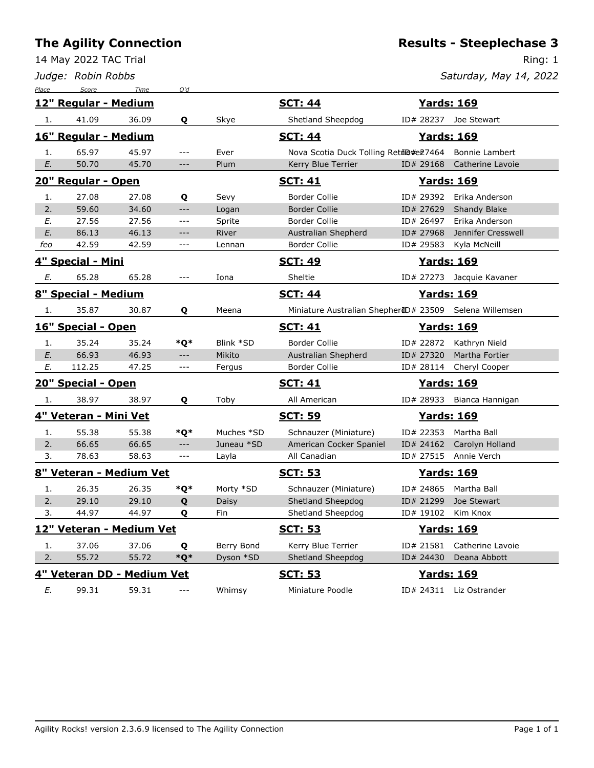14 May 2022 TAC Trial

*Judge: Robin Robbs*

## **Results - Steeplechase 3**

Ring: 1

| Place | Score                      | Time  | O'd                     |            |                                                        |                    |                           |
|-------|----------------------------|-------|-------------------------|------------|--------------------------------------------------------|--------------------|---------------------------|
|       | 12" Regular - Medium       |       |                         |            | <b>SCT: 44</b>                                         | <u> Yards: 169</u> |                           |
| 1.    | 41.09                      | 36.09 | Q                       | Skye       | Shetland Sheepdog                                      |                    | ID# 28237 Joe Stewart     |
|       | 16" Regular - Medium       |       |                         |            | <b>SCT: 44</b>                                         | <u>Yards: 169</u>  |                           |
| 1.    | 65.97                      | 45.97 | $---$                   | Ever       | Nova Scotia Duck Tolling Retil@#e27464                 |                    | Bonnie Lambert            |
| E.    | 50.70                      | 45.70 | $---$                   | Plum       | Kerry Blue Terrier                                     | ID# 29168          | Catherine Lavoie          |
|       | 20" Regular - Open         |       |                         |            | <b>SCT: 41</b>                                         | <u>Yards: 169</u>  |                           |
| 1.    | 27.08                      | 27.08 | Q                       | Sevy       | <b>Border Collie</b>                                   | ID# 29392          | Erika Anderson            |
| 2.    | 59.60                      | 34.60 | $ -$                    | Logan      | <b>Border Collie</b>                                   | ID# 27629          | Shandy Blake              |
| E.    | 27.56                      | 27.56 | $\qquad \qquad - -$     | Sprite     | Border Collie                                          | ID# 26497          | Erika Anderson            |
| E.    | 86.13                      | 46.13 | $-\, -\, -$             | River      | Australian Shepherd                                    | ID# 27968          | Jennifer Cresswell        |
| feo   | 42.59                      | 42.59 | ---                     | Lennan     | <b>Border Collie</b>                                   | ID# 29583          | Kyla McNeill              |
|       | 4" Special - Mini          |       |                         |            | <u>SCT: 49</u>                                         | <u>Yards: 169</u>  |                           |
| Е.    | 65.28                      | 65.28 | $---$                   | Iona       | Sheltie                                                | ID# 27273          | Jacquie Kavaner           |
|       | 8" Special - Medium        |       |                         |            | <b>SCT: 44</b>                                         | <u> Yards: 169</u> |                           |
| 1.    | 35.87                      | 30.87 | Q                       | Meena      | Miniature Australian ShepherdD# 23509 Selena Willemsen |                    |                           |
|       | 16" Special - Open         |       |                         |            | <u>SCT: 41</u>                                         | <u>Yards: 169</u>  |                           |
| 1.    | 35.24                      | 35.24 | *Q*                     | Blink *SD  | <b>Border Collie</b>                                   | ID# 22872          | Kathryn Nield             |
| E.    | 66.93                      | 46.93 | $\hspace{0.05cm} - - -$ | Mikito     | Australian Shepherd                                    | ID# 27320          | Martha Fortier            |
| E.    | 112.25                     | 47.25 | $ -$                    | Fergus     | <b>Border Collie</b>                                   | ID# 28114          | Cheryl Cooper             |
|       | 20" Special - Open         |       |                         |            | <u>SCT: 41</u>                                         | <u>Yards: 169</u>  |                           |
| 1.    | 38.97                      | 38.97 | Q                       | Toby       | All American                                           |                    | ID# 28933 Bianca Hannigan |
|       | 4" Veteran - Mini Vet      |       |                         |            | <u>SCT: 59</u>                                         | <b>Yards: 169</b>  |                           |
| 1.    | 55.38                      | 55.38 | *Q*                     | Muches *SD | Schnauzer (Miniature)                                  | ID# 22353          | Martha Ball               |
| 2.    | 66.65                      | 66.65 | $---$                   | Juneau *SD | American Cocker Spaniel                                | ID# 24162          | Carolyn Holland           |
| 3.    | 78.63                      | 58.63 | $ -$                    | Layla      | All Canadian                                           | ID# 27515          | Annie Verch               |
|       | 8" Veteran - Medium Vet    |       |                         |            | <u>SCT: 53</u>                                         | <u> Yards: 169</u> |                           |
| 1.    | 26.35                      | 26.35 | *Q*                     | Morty *SD  | Schnauzer (Miniature)                                  | ID# 24865          | Martha Ball               |
| 2.    | 29.10                      | 29.10 | Q                       | Daisy      | Shetland Sheepdog                                      | ID# 21299          | Joe Stewart               |
| 3.    | 44.97                      | 44.97 | Q                       | Fin        | Shetland Sheepdog                                      | ID# 19102          | Kim Knox                  |
|       | 12" Veteran - Medium Vet   |       |                         |            | <b>SCT: 53</b>                                         | <b>Yards: 169</b>  |                           |
| 1.    | 37.06                      | 37.06 | Q                       | Berry Bond | Kerry Blue Terrier                                     | ID# 21581          | Catherine Lavoie          |
| 2.    | 55.72                      | 55.72 | $*Q*$                   | Dyson *SD  | Shetland Sheepdog                                      | ID# 24430          | Deana Abbott              |
|       | 4" Veteran DD - Medium Vet |       |                         |            | <u>SCT: 53</u>                                         | <b>Yards: 169</b>  |                           |
| E.    | 99.31                      | 59.31 | ---                     | Whimsy     | Miniature Poodle                                       | ID# 24311          | Liz Ostrander             |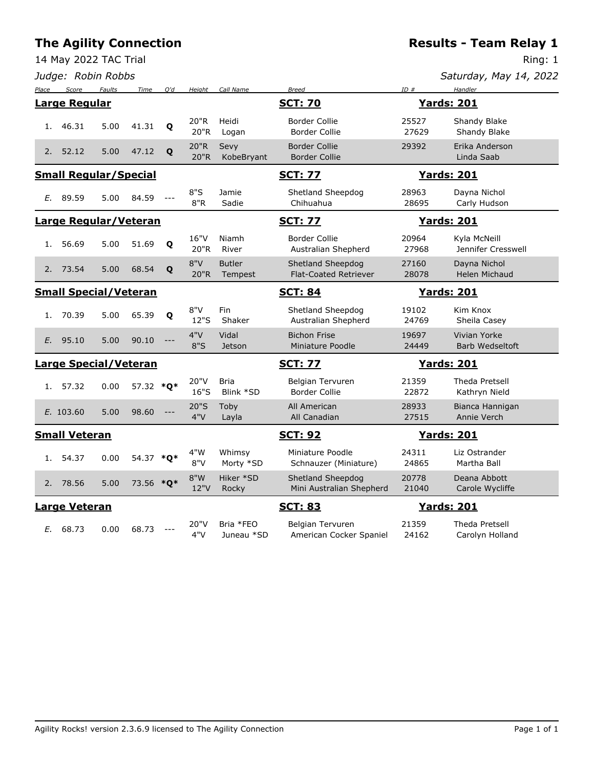*Judge: Robin Robbs*

| Saturday, May 14, 2022 |  |  |  |
|------------------------|--|--|--|
|------------------------|--|--|--|

| Place                        | Score                        | <b>Faults</b> | Time      | O'd                  | Height       | Call Name                | <b>Breed</b>                                      | ID#               | Handler                              |
|------------------------------|------------------------------|---------------|-----------|----------------------|--------------|--------------------------|---------------------------------------------------|-------------------|--------------------------------------|
|                              | <b>Large Regular</b>         |               |           |                      |              |                          | <b>SCT: 70</b>                                    |                   | <b>Yards: 201</b>                    |
| 1.                           | 46.31                        | 5.00          | 41.31     | $\mathbf{o}$         | 20"R<br>20"R | Heidi<br>Logan           | <b>Border Collie</b><br><b>Border Collie</b>      | 25527<br>27629    | Shandy Blake<br>Shandy Blake         |
| 2.                           | 52.12                        | 5.00          | 47.12     | Q                    | 20"R<br>20"R | Sevy<br>KobeBryant       | <b>Border Collie</b><br><b>Border Collie</b>      | 29392             | Erika Anderson<br>Linda Saab         |
| <b>Small Regular/Special</b> |                              |               |           |                      |              |                          | <b>SCT: 77</b>                                    |                   | <b>Yards: 201</b>                    |
| E.                           | 89.59                        | 5.00          | 84.59     | $\sim$ $\sim$ $\sim$ | 8"S<br>8"R   | Jamie<br>Sadie           | Shetland Sheepdog<br>Chihuahua                    | 28963<br>28695    | Dayna Nichol<br>Carly Hudson         |
| <b>Large Regular/Veteran</b> |                              |               |           |                      |              |                          | <b>SCT: 77</b>                                    |                   | <u> Yards: 201</u>                   |
| 1.                           | 56.69                        | 5.00          | 51.69     | Q                    | 16"V<br>20"R | Niamh<br>River           | <b>Border Collie</b><br>Australian Shepherd       | 20964<br>27968    | Kyla McNeill<br>Jennifer Cresswell   |
| 2.                           | 73.54                        | 5.00          | 68.54     | Q                    | 8"V<br>20"R  | <b>Butler</b><br>Tempest | Shetland Sheepdog<br><b>Flat-Coated Retriever</b> | 27160<br>28078    | Dayna Nichol<br><b>Helen Michaud</b> |
| <b>Small Special/Veteran</b> |                              |               |           |                      |              | <b>SCT: 84</b>           |                                                   | <b>Yards: 201</b> |                                      |
| 1.                           | 70.39                        | 5.00          | 65.39     | $\mathbf{o}$         | 8"V<br>12"S  | Fin<br>Shaker            | Shetland Sheepdog<br>Australian Shepherd          | 19102<br>24769    | Kim Knox<br>Sheila Casey             |
| E.                           | 95.10                        | 5.00          | 90.10     |                      | 4"V<br>8"S   | Vidal<br><b>Jetson</b>   | <b>Bichon Frise</b><br>Miniature Poodle           | 19697<br>24449    | Vivian Yorke<br>Barb Wedseltoft      |
|                              | <b>Large Special/Veteran</b> |               |           |                      |              |                          | <b>SCT: 77</b>                                    |                   | <b>Yards: 201</b>                    |
| 1.                           | 57.32                        | 0.00          | 57.32 *O* |                      | 20"V<br>16"S | <b>Bria</b><br>Blink *SD | Belgian Tervuren<br><b>Border Collie</b>          | 21359<br>22872    | Theda Pretsell<br>Kathryn Nield      |
|                              | E. 103.60                    | 5.00          | 98.60     |                      | 20"S<br>4"V  | Toby<br>Layla            | All American<br>All Canadian                      | 28933<br>27515    | Bianca Hannigan<br>Annie Verch       |
|                              | <b>Small Veteran</b>         |               |           |                      |              |                          | <b>SCT: 92</b>                                    |                   | <b>Yards: 201</b>                    |
| 1.                           | 54.37                        | 0.00          | 54.37 *Q* |                      | 4"W<br>8"V   | Whimsy<br>Morty *SD      | Miniature Poodle<br>Schnauzer (Miniature)         | 24311<br>24865    | Liz Ostrander<br>Martha Ball         |
| 2.                           | 78.56                        | 5.00          | 73.56 *O* |                      | 8"W<br>12"V  | Hiker *SD<br>Rocky       | Shetland Sheepdog<br>Mini Australian Shepherd     | 20778<br>21040    | Deana Abbott<br>Carole Wycliffe      |
|                              | <b>Large Veteran</b>         |               |           |                      |              |                          | <b>SCT: 83</b>                                    |                   | <b>Yards: 201</b>                    |
| E.                           | 68.73                        | 0.00          | 68.73     |                      | 20"V<br>4"V  | Bria *FEO<br>Juneau *SD  | Belgian Tervuren<br>American Cocker Spaniel       | 21359<br>24162    | Theda Pretsell<br>Carolyn Holland    |